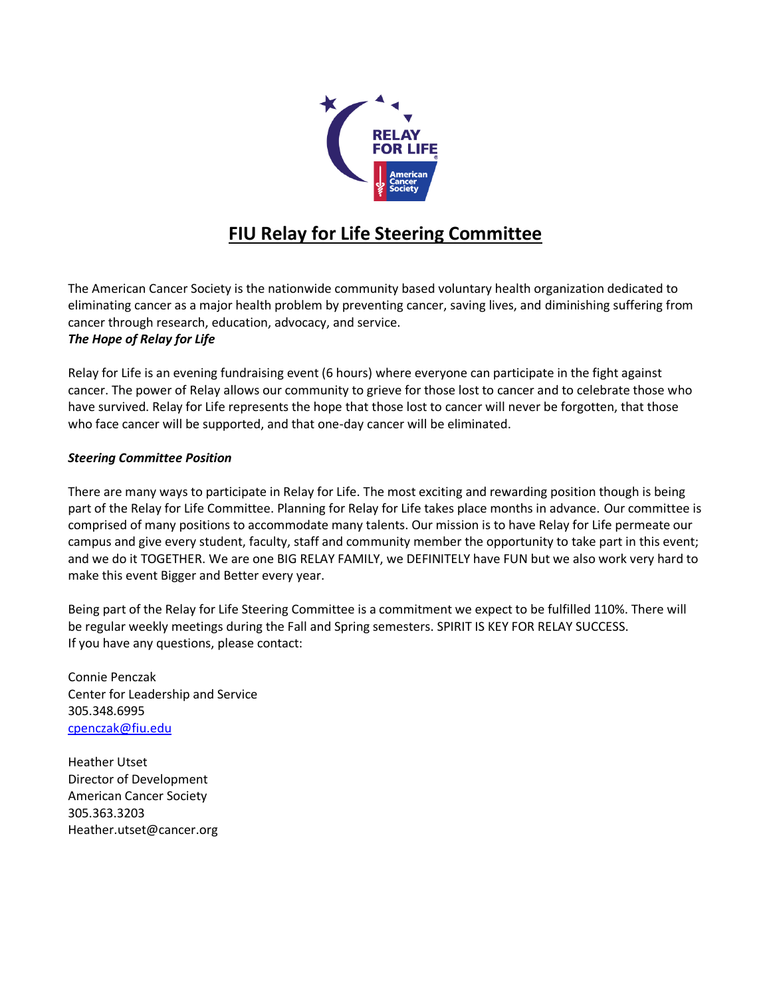

## **FIU Relay for Life Steering Committee**

The American Cancer Society is the nationwide community based voluntary health organization dedicated to eliminating cancer as a major health problem by preventing cancer, saving lives, and diminishing suffering from cancer through research, education, advocacy, and service.

#### *The Hope of Relay for Life*

Relay for Life is an evening fundraising event (6 hours) where everyone can participate in the fight against cancer. The power of Relay allows our community to grieve for those lost to cancer and to celebrate those who have survived. Relay for Life represents the hope that those lost to cancer will never be forgotten, that those who face cancer will be supported, and that one-day cancer will be eliminated.

#### *Steering Committee Position*

There are many ways to participate in Relay for Life. The most exciting and rewarding position though is being part of the Relay for Life Committee. Planning for Relay for Life takes place months in advance. Our committee is comprised of many positions to accommodate many talents. Our mission is to have Relay for Life permeate our campus and give every student, faculty, staff and community member the opportunity to take part in this event; and we do it TOGETHER. We are one BIG RELAY FAMILY, we DEFINITELY have FUN but we also work very hard to make this event Bigger and Better every year.

Being part of the Relay for Life Steering Committee is a commitment we expect to be fulfilled 110%. There will be regular weekly meetings during the Fall and Spring semesters. SPIRIT IS KEY FOR RELAY SUCCESS. If you have any questions, please contact:

Connie Penczak Center for Leadership and Service 305.348.6995 [cpenczak@fiu.edu](mailto:cpenczak@fiu.edu)

Heather Utset Director of Development American Cancer Society 305.363.3203 Heather.utset@cancer.org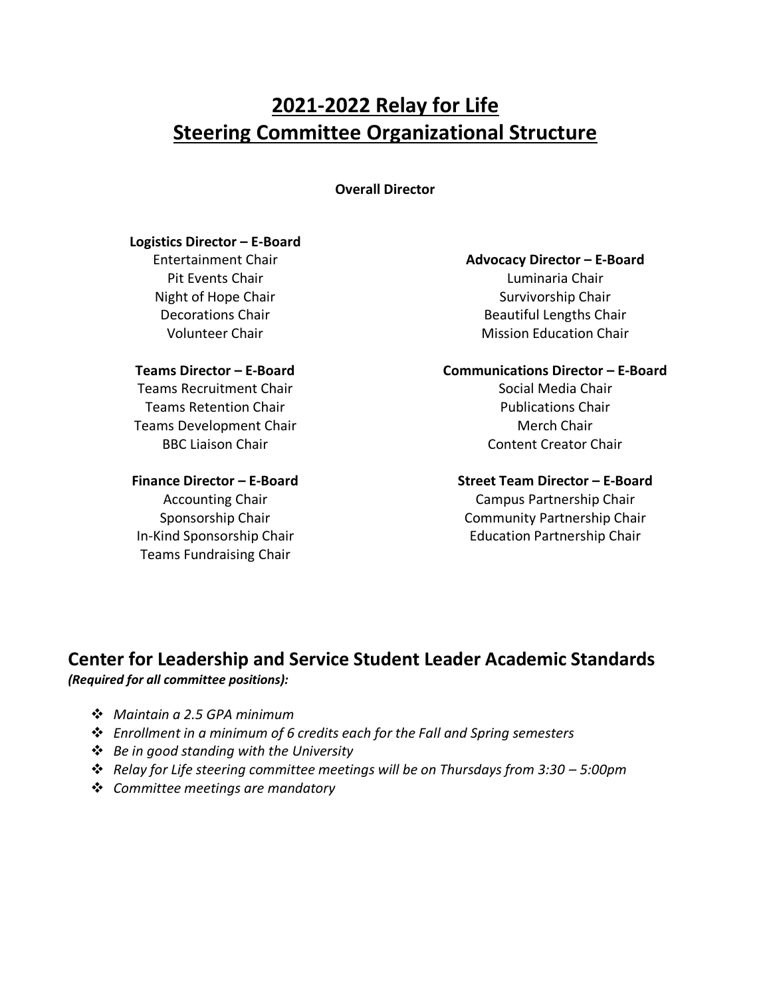# **2021-2022 Relay for Life Steering Committee Organizational Structure**

**Overall Director**

#### **Logistics Director – E-Board**

Entertainment Chair Pit Events Chair Night of Hope Chair Decorations Chair Volunteer Chair

#### **Teams Director – E-Board**

Teams Recruitment Chair Teams Retention Chair Teams Development Chair BBC Liaison Chair

#### **Finance Director – E-Board**

Accounting Chair Sponsorship Chair In-Kind Sponsorship Chair Teams Fundraising Chair

#### **Advocacy Director – E-Board**

Luminaria Chair Survivorship Chair Beautiful Lengths Chair Mission Education Chair

## **Communications Director – E-Board**

Social Media Chair Publications Chair Merch Chair Content Creator Chair

#### **Street Team Director – E-Board**

Campus Partnership Chair Community Partnership Chair Education Partnership Chair

## **Center for Leadership and Service Student Leader Academic Standards**  *(Required for all committee positions):*

- ❖ *Maintain a 2.5 GPA minimum*
- ❖ *Enrollment in a minimum of 6 credits each for the Fall and Spring semesters*
- ❖ *Be in good standing with the University*
- ❖ *Relay for Life steering committee meetings will be on Thursdays from 3:30 – 5:00pm*
- ❖ *Committee meetings are mandatory*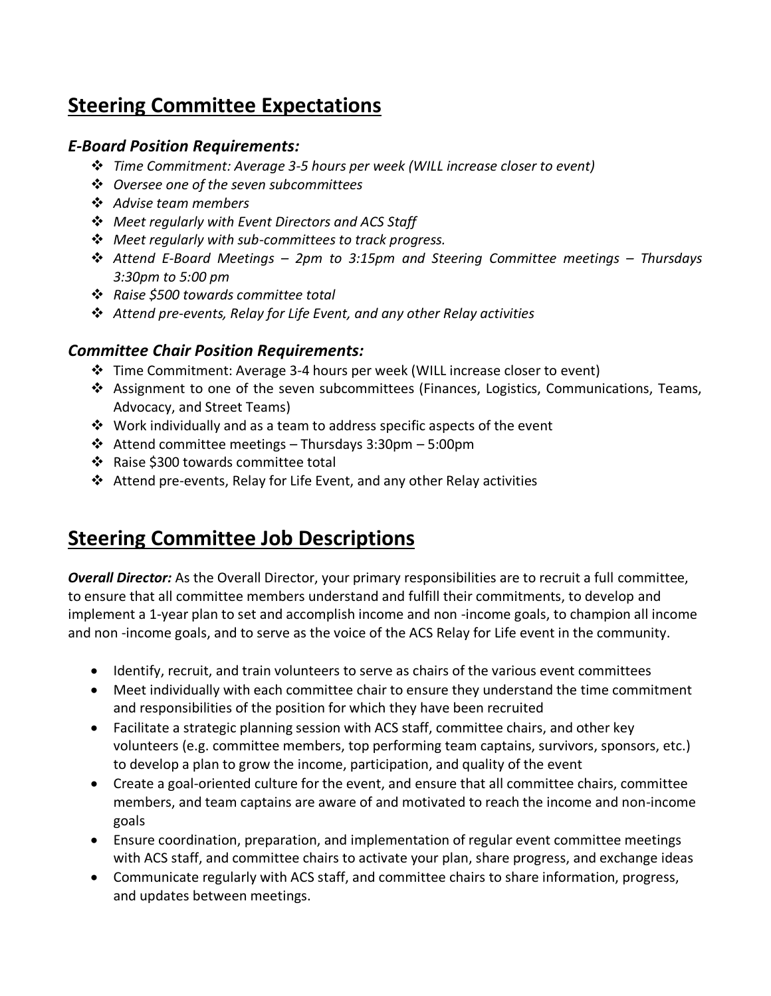# **Steering Committee Expectations**

## *E-Board Position Requirements:*

- ❖ *Time Commitment: Average 3-5 hours per week (WILL increase closer to event)*
- ❖ *Oversee one of the seven subcommittees*
- ❖ *Advise team members*
- ❖ *Meet regularly with Event Directors and ACS Staff*
- ❖ *Meet regularly with sub-committees to track progress.*
- ❖ *Attend E-Board Meetings – 2pm to 3:15pm and Steering Committee meetings – Thursdays 3:30pm to 5:00 pm*
- ❖ *Raise \$500 towards committee total*
- ❖ *Attend pre-events, Relay for Life Event, and any other Relay activities*

## *Committee Chair Position Requirements:*

- ❖ Time Commitment: Average 3-4 hours per week (WILL increase closer to event)
- ❖ Assignment to one of the seven subcommittees (Finances, Logistics, Communications, Teams, Advocacy, and Street Teams)
- ❖ Work individually and as a team to address specific aspects of the event
- ❖ Attend committee meetings Thursdays 3:30pm 5:00pm
- ❖ Raise \$300 towards committee total
- ❖ Attend pre-events, Relay for Life Event, and any other Relay activities

## **Steering Committee Job Descriptions**

*Overall Director:* As the Overall Director, your primary responsibilities are to recruit a full committee, to ensure that all committee members understand and fulfill their commitments, to develop and implement a 1-year plan to set and accomplish income and non -income goals, to champion all income and non -income goals, and to serve as the voice of the ACS Relay for Life event in the community.

- Identify, recruit, and train volunteers to serve as chairs of the various event committees
- Meet individually with each committee chair to ensure they understand the time commitment and responsibilities of the position for which they have been recruited
- Facilitate a strategic planning session with ACS staff, committee chairs, and other key volunteers (e.g. committee members, top performing team captains, survivors, sponsors, etc.) to develop a plan to grow the income, participation, and quality of the event
- Create a goal-oriented culture for the event, and ensure that all committee chairs, committee members, and team captains are aware of and motivated to reach the income and non-income goals
- Ensure coordination, preparation, and implementation of regular event committee meetings with ACS staff, and committee chairs to activate your plan, share progress, and exchange ideas
- Communicate regularly with ACS staff, and committee chairs to share information, progress, and updates between meetings.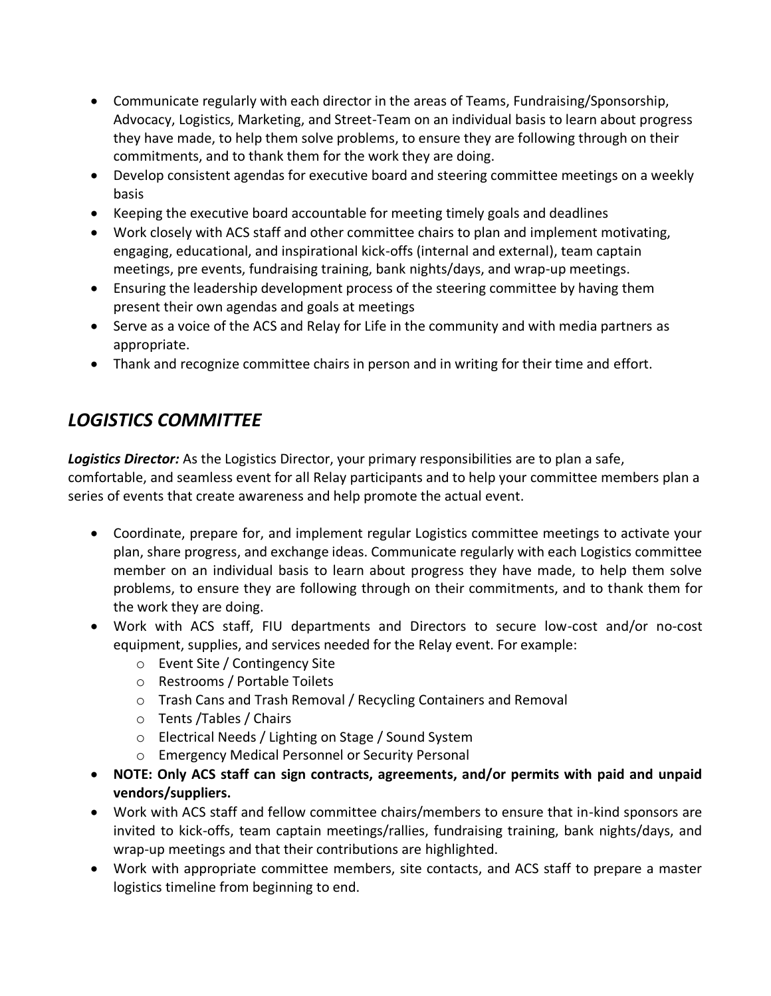- Communicate regularly with each director in the areas of Teams, Fundraising/Sponsorship, Advocacy, Logistics, Marketing, and Street-Team on an individual basis to learn about progress they have made, to help them solve problems, to ensure they are following through on their commitments, and to thank them for the work they are doing.
- Develop consistent agendas for executive board and steering committee meetings on a weekly basis
- Keeping the executive board accountable for meeting timely goals and deadlines
- Work closely with ACS staff and other committee chairs to plan and implement motivating, engaging, educational, and inspirational kick-offs (internal and external), team captain meetings, pre events, fundraising training, bank nights/days, and wrap-up meetings.
- Ensuring the leadership development process of the steering committee by having them present their own agendas and goals at meetings
- Serve as a voice of the ACS and Relay for Life in the community and with media partners as appropriate.
- Thank and recognize committee chairs in person and in writing for their time and effort.

# *LOGISTICS COMMITTEE*

*Logistics Director:* As the Logistics Director, your primary responsibilities are to plan a safe, comfortable, and seamless event for all Relay participants and to help your committee members plan a series of events that create awareness and help promote the actual event.

- Coordinate, prepare for, and implement regular Logistics committee meetings to activate your plan, share progress, and exchange ideas. Communicate regularly with each Logistics committee member on an individual basis to learn about progress they have made, to help them solve problems, to ensure they are following through on their commitments, and to thank them for the work they are doing.
- Work with ACS staff, FIU departments and Directors to secure low-cost and/or no-cost equipment, supplies, and services needed for the Relay event. For example:
	- o Event Site / Contingency Site
	- o Restrooms / Portable Toilets
	- o Trash Cans and Trash Removal / Recycling Containers and Removal
	- o Tents /Tables / Chairs
	- o Electrical Needs / Lighting on Stage / Sound System
	- o Emergency Medical Personnel or Security Personal
- **NOTE: Only ACS staff can sign contracts, agreements, and/or permits with paid and unpaid vendors/suppliers.**
- Work with ACS staff and fellow committee chairs/members to ensure that in-kind sponsors are invited to kick-offs, team captain meetings/rallies, fundraising training, bank nights/days, and wrap-up meetings and that their contributions are highlighted.
- Work with appropriate committee members, site contacts, and ACS staff to prepare a master logistics timeline from beginning to end.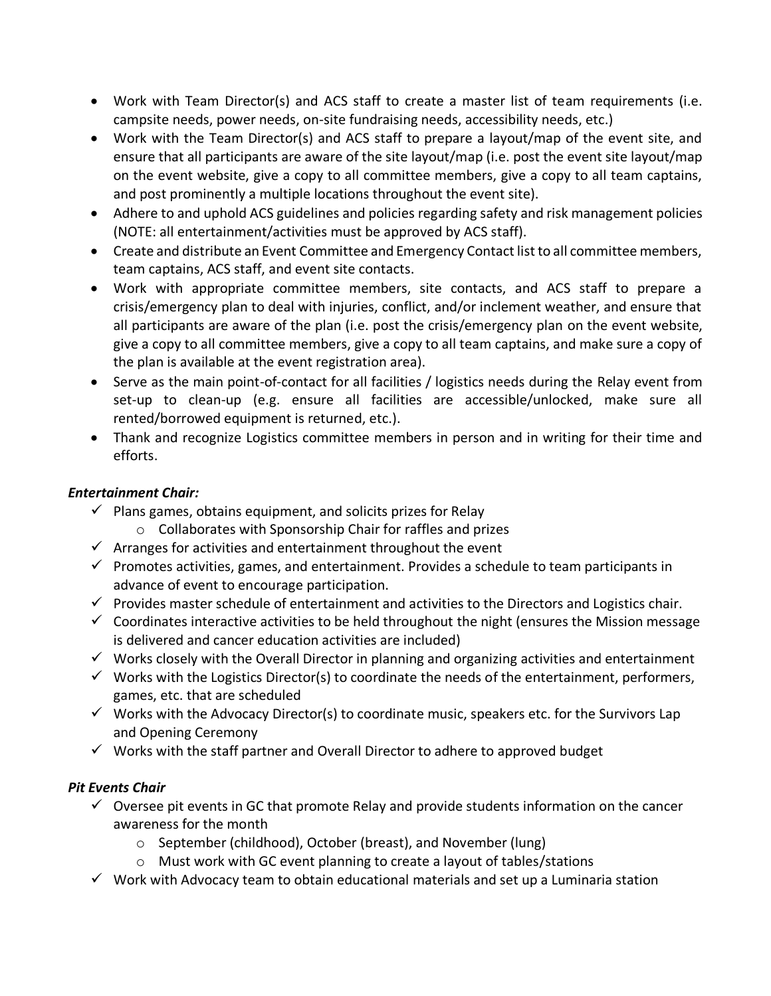- Work with Team Director(s) and ACS staff to create a master list of team requirements (i.e. campsite needs, power needs, on-site fundraising needs, accessibility needs, etc.)
- Work with the Team Director(s) and ACS staff to prepare a layout/map of the event site, and ensure that all participants are aware of the site layout/map (i.e. post the event site layout/map on the event website, give a copy to all committee members, give a copy to all team captains, and post prominently a multiple locations throughout the event site).
- Adhere to and uphold ACS guidelines and policies regarding safety and risk management policies (NOTE: all entertainment/activities must be approved by ACS staff).
- Create and distribute an Event Committee and Emergency Contact list to all committee members, team captains, ACS staff, and event site contacts.
- Work with appropriate committee members, site contacts, and ACS staff to prepare a crisis/emergency plan to deal with injuries, conflict, and/or inclement weather, and ensure that all participants are aware of the plan (i.e. post the crisis/emergency plan on the event website, give a copy to all committee members, give a copy to all team captains, and make sure a copy of the plan is available at the event registration area).
- Serve as the main point-of-contact for all facilities / logistics needs during the Relay event from set-up to clean-up (e.g. ensure all facilities are accessible/unlocked, make sure all rented/borrowed equipment is returned, etc.).
- Thank and recognize Logistics committee members in person and in writing for their time and efforts.

### *Entertainment Chair:*

- $\checkmark$  Plans games, obtains equipment, and solicits prizes for Relay
	- o Collaborates with Sponsorship Chair for raffles and prizes
- $\checkmark$  Arranges for activities and entertainment throughout the event
- $\checkmark$  Promotes activities, games, and entertainment. Provides a schedule to team participants in advance of event to encourage participation.
- $\checkmark$  Provides master schedule of entertainment and activities to the Directors and Logistics chair.
- $\checkmark$  Coordinates interactive activities to be held throughout the night (ensures the Mission message is delivered and cancer education activities are included)
- $\checkmark$  Works closely with the Overall Director in planning and organizing activities and entertainment
- $\checkmark$  Works with the Logistics Director(s) to coordinate the needs of the entertainment, performers, games, etc. that are scheduled
- $\checkmark$  Works with the Advocacy Director(s) to coordinate music, speakers etc. for the Survivors Lap and Opening Ceremony
- ✓ Works with the staff partner and Overall Director to adhere to approved budget

### *Pit Events Chair*

- $\checkmark$  Oversee pit events in GC that promote Relay and provide students information on the cancer awareness for the month
	- o September (childhood), October (breast), and November (lung)
	- o Must work with GC event planning to create a layout of tables/stations
- $\checkmark$  Work with Advocacy team to obtain educational materials and set up a Luminaria station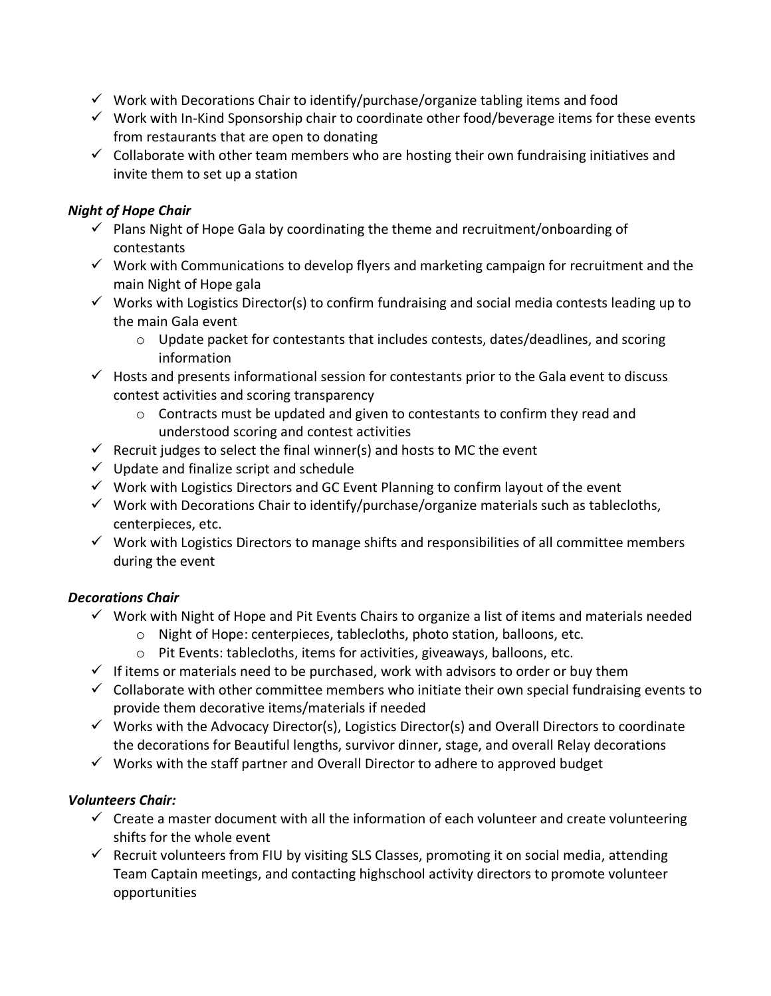- $\checkmark$  Work with Decorations Chair to identify/purchase/organize tabling items and food
- $\checkmark$  Work with In-Kind Sponsorship chair to coordinate other food/beverage items for these events from restaurants that are open to donating
- $\checkmark$  Collaborate with other team members who are hosting their own fundraising initiatives and invite them to set up a station

## *Night of Hope Chair*

- $\checkmark$  Plans Night of Hope Gala by coordinating the theme and recruitment/onboarding of contestants
- $\checkmark$  Work with Communications to develop flyers and marketing campaign for recruitment and the main Night of Hope gala
- $\checkmark$  Works with Logistics Director(s) to confirm fundraising and social media contests leading up to the main Gala event
	- $\circ$  Update packet for contestants that includes contests, dates/deadlines, and scoring information
- $\checkmark$  Hosts and presents informational session for contestants prior to the Gala event to discuss contest activities and scoring transparency
	- o Contracts must be updated and given to contestants to confirm they read and understood scoring and contest activities
- $\checkmark$  Recruit judges to select the final winner(s) and hosts to MC the event
- $\checkmark$  Update and finalize script and schedule
- $\checkmark$  Work with Logistics Directors and GC Event Planning to confirm layout of the event
- $\checkmark$  Work with Decorations Chair to identify/purchase/organize materials such as tablecloths, centerpieces, etc.
- $\checkmark$  Work with Logistics Directors to manage shifts and responsibilities of all committee members during the event

## *Decorations Chair*

- ✓ Work with Night of Hope and Pit Events Chairs to organize a list of items and materials needed
	- o Night of Hope: centerpieces, tablecloths, photo station, balloons, etc.
	- o Pit Events: tablecloths, items for activities, giveaways, balloons, etc.
- $\checkmark$  If items or materials need to be purchased, work with advisors to order or buy them
- $\checkmark$  Collaborate with other committee members who initiate their own special fundraising events to provide them decorative items/materials if needed
- $\checkmark$  Works with the Advocacy Director(s), Logistics Director(s) and Overall Directors to coordinate the decorations for Beautiful lengths, survivor dinner, stage, and overall Relay decorations
- $\checkmark$  Works with the staff partner and Overall Director to adhere to approved budget

## *Volunteers Chair:*

- $\checkmark$  Create a master document with all the information of each volunteer and create volunteering shifts for the whole event
- ✓ Recruit volunteers from FIU by visiting SLS Classes, promoting it on social media, attending Team Captain meetings, and contacting highschool activity directors to promote volunteer opportunities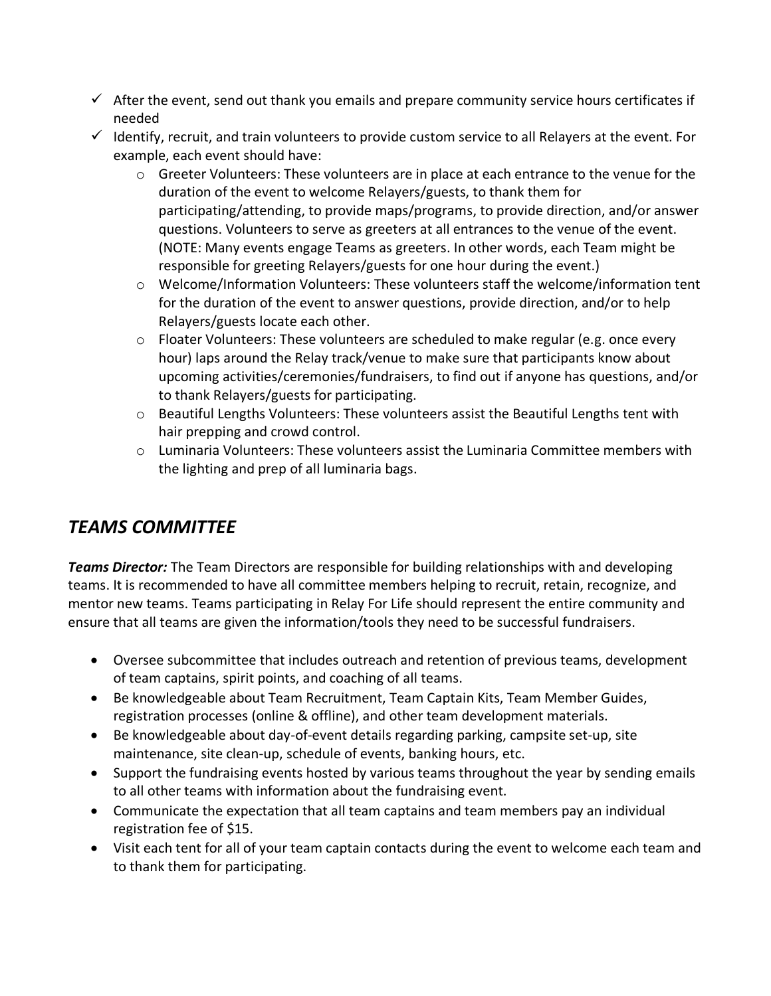- $\checkmark$  After the event, send out thank you emails and prepare community service hours certificates if needed
- $\checkmark$  Identify, recruit, and train volunteers to provide custom service to all Relayers at the event. For example, each event should have:
	- $\circ$  Greeter Volunteers: These volunteers are in place at each entrance to the venue for the duration of the event to welcome Relayers/guests, to thank them for participating/attending, to provide maps/programs, to provide direction, and/or answer questions. Volunteers to serve as greeters at all entrances to the venue of the event. (NOTE: Many events engage Teams as greeters. In other words, each Team might be responsible for greeting Relayers/guests for one hour during the event.)
	- o Welcome/Information Volunteers: These volunteers staff the welcome/information tent for the duration of the event to answer questions, provide direction, and/or to help Relayers/guests locate each other.
	- o Floater Volunteers: These volunteers are scheduled to make regular (e.g. once every hour) laps around the Relay track/venue to make sure that participants know about upcoming activities/ceremonies/fundraisers, to find out if anyone has questions, and/or to thank Relayers/guests for participating.
	- o Beautiful Lengths Volunteers: These volunteers assist the Beautiful Lengths tent with hair prepping and crowd control.
	- $\circ$  Luminaria Volunteers: These volunteers assist the Luminaria Committee members with the lighting and prep of all luminaria bags.

## *TEAMS COMMITTEE*

*Teams Director:* The Team Directors are responsible for building relationships with and developing teams. It is recommended to have all committee members helping to recruit, retain, recognize, and mentor new teams. Teams participating in Relay For Life should represent the entire community and ensure that all teams are given the information/tools they need to be successful fundraisers.

- Oversee subcommittee that includes outreach and retention of previous teams, development of team captains, spirit points, and coaching of all teams.
- Be knowledgeable about Team Recruitment, Team Captain Kits, Team Member Guides, registration processes (online & offline), and other team development materials.
- Be knowledgeable about day-of-event details regarding parking, campsite set-up, site maintenance, site clean-up, schedule of events, banking hours, etc.
- Support the fundraising events hosted by various teams throughout the year by sending emails to all other teams with information about the fundraising event.
- Communicate the expectation that all team captains and team members pay an individual registration fee of \$15.
- Visit each tent for all of your team captain contacts during the event to welcome each team and to thank them for participating.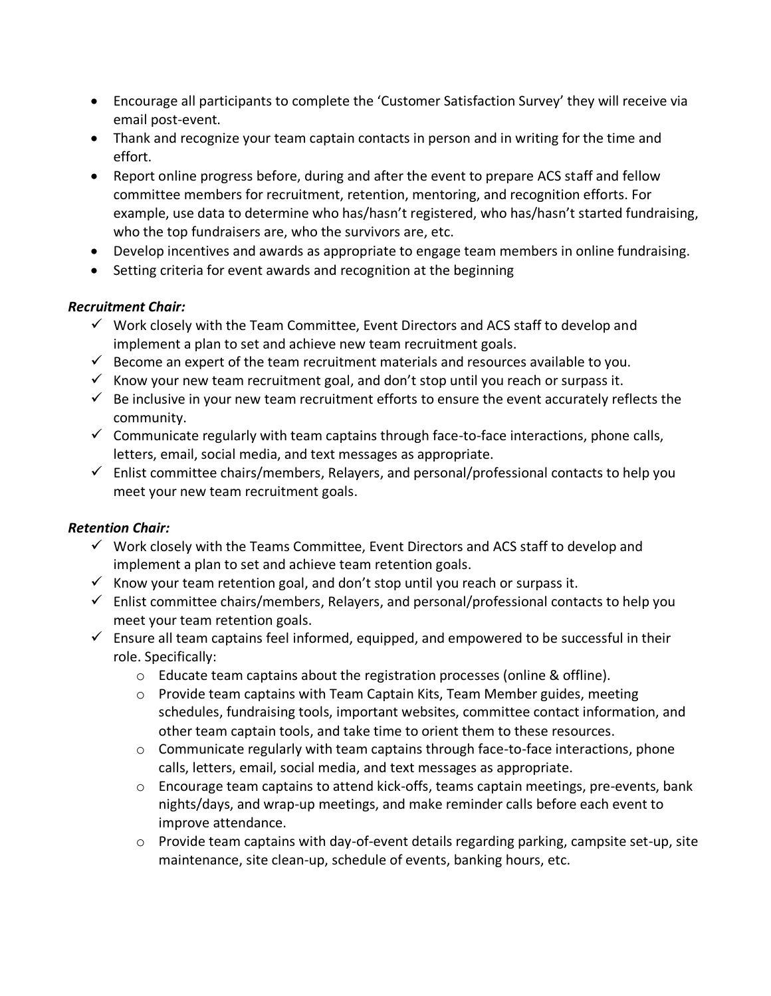- Encourage all participants to complete the 'Customer Satisfaction Survey' they will receive via email post-event.
- Thank and recognize your team captain contacts in person and in writing for the time and effort.
- Report online progress before, during and after the event to prepare ACS staff and fellow committee members for recruitment, retention, mentoring, and recognition efforts. For example, use data to determine who has/hasn't registered, who has/hasn't started fundraising, who the top fundraisers are, who the survivors are, etc.
- Develop incentives and awards as appropriate to engage team members in online fundraising.
- Setting criteria for event awards and recognition at the beginning

### *Recruitment Chair:*

- $\checkmark$  Work closely with the Team Committee, Event Directors and ACS staff to develop and implement a plan to set and achieve new team recruitment goals.
- $\checkmark$  Become an expert of the team recruitment materials and resources available to you.
- $\checkmark$  Know your new team recruitment goal, and don't stop until you reach or surpass it.
- $\checkmark$  Be inclusive in your new team recruitment efforts to ensure the event accurately reflects the community.
- $\checkmark$  Communicate regularly with team captains through face-to-face interactions, phone calls, letters, email, social media, and text messages as appropriate.
- $\checkmark$  Enlist committee chairs/members, Relayers, and personal/professional contacts to help you meet your new team recruitment goals.

### *Retention Chair:*

- $\checkmark$  Work closely with the Teams Committee, Event Directors and ACS staff to develop and implement a plan to set and achieve team retention goals.
- $\checkmark$  Know your team retention goal, and don't stop until you reach or surpass it.
- $\checkmark$  Enlist committee chairs/members, Relayers, and personal/professional contacts to help you meet your team retention goals.
- $\checkmark$  Ensure all team captains feel informed, equipped, and empowered to be successful in their role. Specifically:
	- $\circ$  Educate team captains about the registration processes (online & offline).
	- $\circ$  Provide team captains with Team Captain Kits, Team Member guides, meeting schedules, fundraising tools, important websites, committee contact information, and other team captain tools, and take time to orient them to these resources.
	- $\circ$  Communicate regularly with team captains through face-to-face interactions, phone calls, letters, email, social media, and text messages as appropriate.
	- $\circ$  Encourage team captains to attend kick-offs, teams captain meetings, pre-events, bank nights/days, and wrap-up meetings, and make reminder calls before each event to improve attendance.
	- $\circ$  Provide team captains with day-of-event details regarding parking, campsite set-up, site maintenance, site clean-up, schedule of events, banking hours, etc.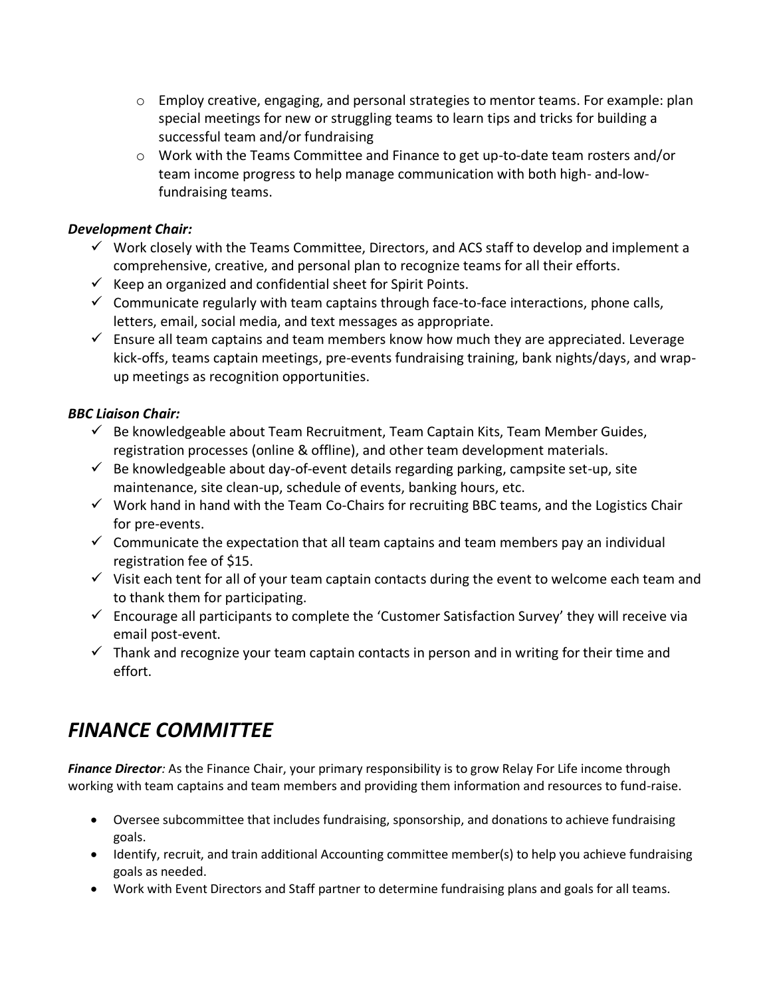- $\circ$  Employ creative, engaging, and personal strategies to mentor teams. For example: plan special meetings for new or struggling teams to learn tips and tricks for building a successful team and/or fundraising
- o Work with the Teams Committee and Finance to get up-to-date team rosters and/or team income progress to help manage communication with both high- and-lowfundraising teams.

### *Development Chair:*

- $\checkmark$  Work closely with the Teams Committee, Directors, and ACS staff to develop and implement a comprehensive, creative, and personal plan to recognize teams for all their efforts.
- $\checkmark$  Keep an organized and confidential sheet for Spirit Points.
- $\checkmark$  Communicate regularly with team captains through face-to-face interactions, phone calls, letters, email, social media, and text messages as appropriate.
- $\checkmark$  Ensure all team captains and team members know how much they are appreciated. Leverage kick-offs, teams captain meetings, pre-events fundraising training, bank nights/days, and wrapup meetings as recognition opportunities.

## *BBC Liaison Chair:*

- $\checkmark$  Be knowledgeable about Team Recruitment, Team Captain Kits, Team Member Guides, registration processes (online & offline), and other team development materials.
- $\checkmark$  Be knowledgeable about day-of-event details regarding parking, campsite set-up, site maintenance, site clean-up, schedule of events, banking hours, etc.
- $\checkmark$  Work hand in hand with the Team Co-Chairs for recruiting BBC teams, and the Logistics Chair for pre-events.
- $\checkmark$  Communicate the expectation that all team captains and team members pay an individual registration fee of \$15.
- $\checkmark$  Visit each tent for all of your team captain contacts during the event to welcome each team and to thank them for participating.
- $\checkmark$  Encourage all participants to complete the 'Customer Satisfaction Survey' they will receive via email post-event.
- $\checkmark$  Thank and recognize your team captain contacts in person and in writing for their time and effort.

# *FINANCE COMMITTEE*

*Finance Director:* As the Finance Chair, your primary responsibility is to grow Relay For Life income through working with team captains and team members and providing them information and resources to fund-raise.

- Oversee subcommittee that includes fundraising, sponsorship, and donations to achieve fundraising goals.
- Identify, recruit, and train additional Accounting committee member(s) to help you achieve fundraising goals as needed.
- Work with Event Directors and Staff partner to determine fundraising plans and goals for all teams.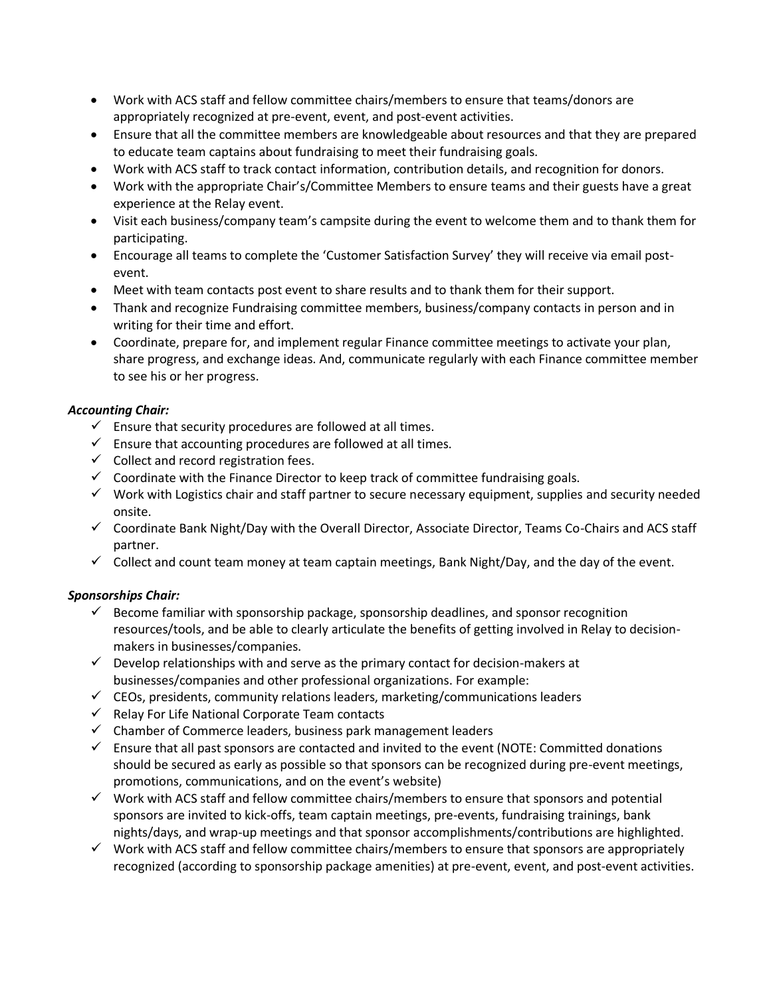- Work with ACS staff and fellow committee chairs/members to ensure that teams/donors are appropriately recognized at pre-event, event, and post-event activities.
- Ensure that all the committee members are knowledgeable about resources and that they are prepared to educate team captains about fundraising to meet their fundraising goals.
- Work with ACS staff to track contact information, contribution details, and recognition for donors.
- Work with the appropriate Chair's/Committee Members to ensure teams and their guests have a great experience at the Relay event.
- Visit each business/company team's campsite during the event to welcome them and to thank them for participating.
- Encourage all teams to complete the 'Customer Satisfaction Survey' they will receive via email postevent.
- Meet with team contacts post event to share results and to thank them for their support.
- Thank and recognize Fundraising committee members, business/company contacts in person and in writing for their time and effort.
- Coordinate, prepare for, and implement regular Finance committee meetings to activate your plan, share progress, and exchange ideas. And, communicate regularly with each Finance committee member to see his or her progress.

#### *Accounting Chair:*

- $\checkmark$  Ensure that security procedures are followed at all times.
- $\checkmark$  Ensure that accounting procedures are followed at all times.
- $\checkmark$  Collect and record registration fees.
- $\checkmark$  Coordinate with the Finance Director to keep track of committee fundraising goals.
- $\checkmark$  Work with Logistics chair and staff partner to secure necessary equipment, supplies and security needed onsite.
- ✓ Coordinate Bank Night/Day with the Overall Director, Associate Director, Teams Co-Chairs and ACS staff partner.
- $\checkmark$  Collect and count team money at team captain meetings, Bank Night/Day, and the day of the event.

#### *Sponsorships Chair:*

- $\checkmark$  Become familiar with sponsorship package, sponsorship deadlines, and sponsor recognition resources/tools, and be able to clearly articulate the benefits of getting involved in Relay to decisionmakers in businesses/companies.
- $\checkmark$  Develop relationships with and serve as the primary contact for decision-makers at businesses/companies and other professional organizations. For example:
- $\checkmark$  CEOs, presidents, community relations leaders, marketing/communications leaders
- $\checkmark$  Relay For Life National Corporate Team contacts
- ✓ Chamber of Commerce leaders, business park management leaders
- $\checkmark$  Ensure that all past sponsors are contacted and invited to the event (NOTE: Committed donations should be secured as early as possible so that sponsors can be recognized during pre-event meetings, promotions, communications, and on the event's website)
- $\checkmark$  Work with ACS staff and fellow committee chairs/members to ensure that sponsors and potential sponsors are invited to kick-offs, team captain meetings, pre-events, fundraising trainings, bank nights/days, and wrap-up meetings and that sponsor accomplishments/contributions are highlighted.
- $\checkmark$  Work with ACS staff and fellow committee chairs/members to ensure that sponsors are appropriately recognized (according to sponsorship package amenities) at pre-event, event, and post-event activities.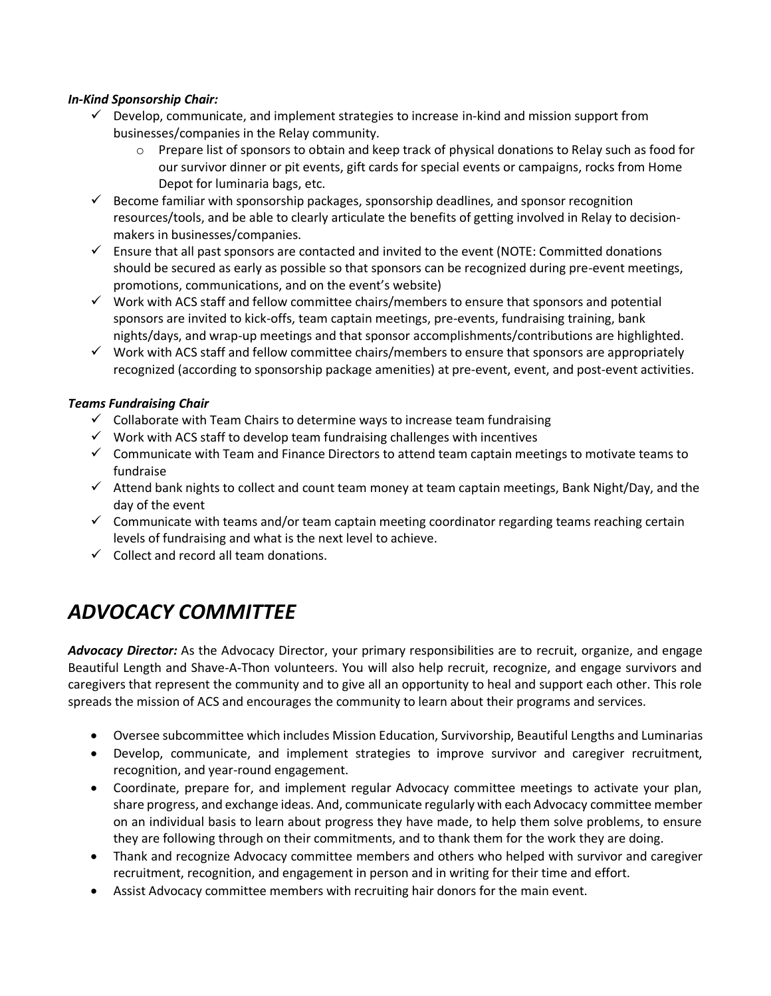#### *In-Kind Sponsorship Chair:*

- $\checkmark$  Develop, communicate, and implement strategies to increase in-kind and mission support from businesses/companies in the Relay community.
	- o Prepare list of sponsors to obtain and keep track of physical donations to Relay such as food for our survivor dinner or pit events, gift cards for special events or campaigns, rocks from Home Depot for luminaria bags, etc.
- $\checkmark$  Become familiar with sponsorship packages, sponsorship deadlines, and sponsor recognition resources/tools, and be able to clearly articulate the benefits of getting involved in Relay to decisionmakers in businesses/companies.
- ✓ Ensure that all past sponsors are contacted and invited to the event (NOTE: Committed donations should be secured as early as possible so that sponsors can be recognized during pre-event meetings, promotions, communications, and on the event's website)
- $\checkmark$  Work with ACS staff and fellow committee chairs/members to ensure that sponsors and potential sponsors are invited to kick-offs, team captain meetings, pre-events, fundraising training, bank nights/days, and wrap-up meetings and that sponsor accomplishments/contributions are highlighted.
- $\checkmark$  Work with ACS staff and fellow committee chairs/members to ensure that sponsors are appropriately recognized (according to sponsorship package amenities) at pre-event, event, and post-event activities.

#### *Teams Fundraising Chair*

- $\checkmark$  Collaborate with Team Chairs to determine ways to increase team fundraising
- $\checkmark$  Work with ACS staff to develop team fundraising challenges with incentives
- $\checkmark$  Communicate with Team and Finance Directors to attend team captain meetings to motivate teams to fundraise
- $\checkmark$  Attend bank nights to collect and count team money at team captain meetings, Bank Night/Day, and the day of the event
- $\checkmark$  Communicate with teams and/or team captain meeting coordinator regarding teams reaching certain levels of fundraising and what is the next level to achieve.
- $\checkmark$  Collect and record all team donations.

## *ADVOCACY COMMITTEE*

*Advocacy Director:* As the Advocacy Director, your primary responsibilities are to recruit, organize, and engage Beautiful Length and Shave-A-Thon volunteers. You will also help recruit, recognize, and engage survivors and caregivers that represent the community and to give all an opportunity to heal and support each other. This role spreads the mission of ACS and encourages the community to learn about their programs and services.

- Oversee subcommittee which includes Mission Education, Survivorship, Beautiful Lengths and Luminarias
- Develop, communicate, and implement strategies to improve survivor and caregiver recruitment, recognition, and year-round engagement.
- Coordinate, prepare for, and implement regular Advocacy committee meetings to activate your plan, share progress, and exchange ideas. And, communicate regularly with each Advocacy committee member on an individual basis to learn about progress they have made, to help them solve problems, to ensure they are following through on their commitments, and to thank them for the work they are doing.
- Thank and recognize Advocacy committee members and others who helped with survivor and caregiver recruitment, recognition, and engagement in person and in writing for their time and effort.
- Assist Advocacy committee members with recruiting hair donors for the main event.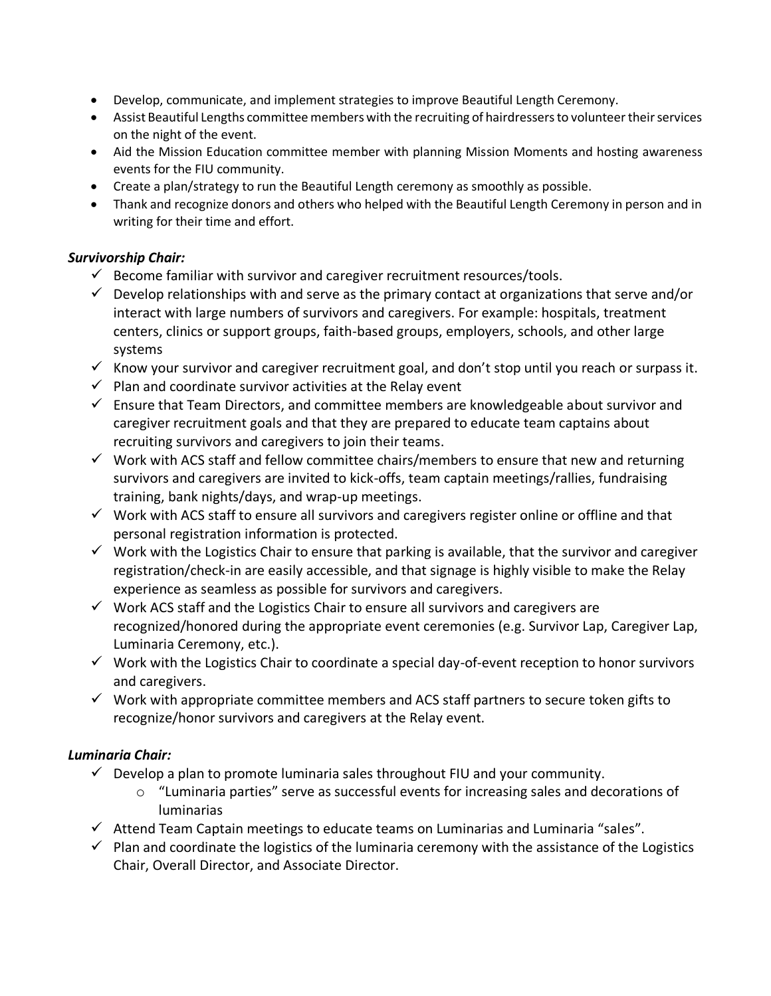- Develop, communicate, and implement strategies to improve Beautiful Length Ceremony.
- Assist Beautiful Lengths committee members with the recruiting of hairdressers to volunteer their services on the night of the event.
- Aid the Mission Education committee member with planning Mission Moments and hosting awareness events for the FIU community.
- Create a plan/strategy to run the Beautiful Length ceremony as smoothly as possible.
- Thank and recognize donors and others who helped with the Beautiful Length Ceremony in person and in writing for their time and effort.

#### *Survivorship Chair:*

- $\checkmark$  Become familiar with survivor and caregiver recruitment resources/tools.
- $\checkmark$  Develop relationships with and serve as the primary contact at organizations that serve and/or interact with large numbers of survivors and caregivers. For example: hospitals, treatment centers, clinics or support groups, faith-based groups, employers, schools, and other large systems
- $\checkmark$  Know your survivor and caregiver recruitment goal, and don't stop until you reach or surpass it.
- $\checkmark$  Plan and coordinate survivor activities at the Relay event
- $\checkmark$  Ensure that Team Directors, and committee members are knowledgeable about survivor and caregiver recruitment goals and that they are prepared to educate team captains about recruiting survivors and caregivers to join their teams.
- $\checkmark$  Work with ACS staff and fellow committee chairs/members to ensure that new and returning survivors and caregivers are invited to kick-offs, team captain meetings/rallies, fundraising training, bank nights/days, and wrap-up meetings.
- ✓ Work with ACS staff to ensure all survivors and caregivers register online or offline and that personal registration information is protected.
- $\checkmark$  Work with the Logistics Chair to ensure that parking is available, that the survivor and caregiver registration/check-in are easily accessible, and that signage is highly visible to make the Relay experience as seamless as possible for survivors and caregivers.
- $\checkmark$  Work ACS staff and the Logistics Chair to ensure all survivors and caregivers are recognized/honored during the appropriate event ceremonies (e.g. Survivor Lap, Caregiver Lap, Luminaria Ceremony, etc.).
- ✓ Work with the Logistics Chair to coordinate a special day-of-event reception to honor survivors and caregivers.
- $\checkmark$  Work with appropriate committee members and ACS staff partners to secure token gifts to recognize/honor survivors and caregivers at the Relay event.

#### *Luminaria Chair:*

- $\checkmark$  Develop a plan to promote luminaria sales throughout FIU and your community.
	- $\circ$  "Luminaria parties" serve as successful events for increasing sales and decorations of luminarias
- $\checkmark$  Attend Team Captain meetings to educate teams on Luminarias and Luminaria "sales".
- $\checkmark$  Plan and coordinate the logistics of the luminaria ceremony with the assistance of the Logistics Chair, Overall Director, and Associate Director.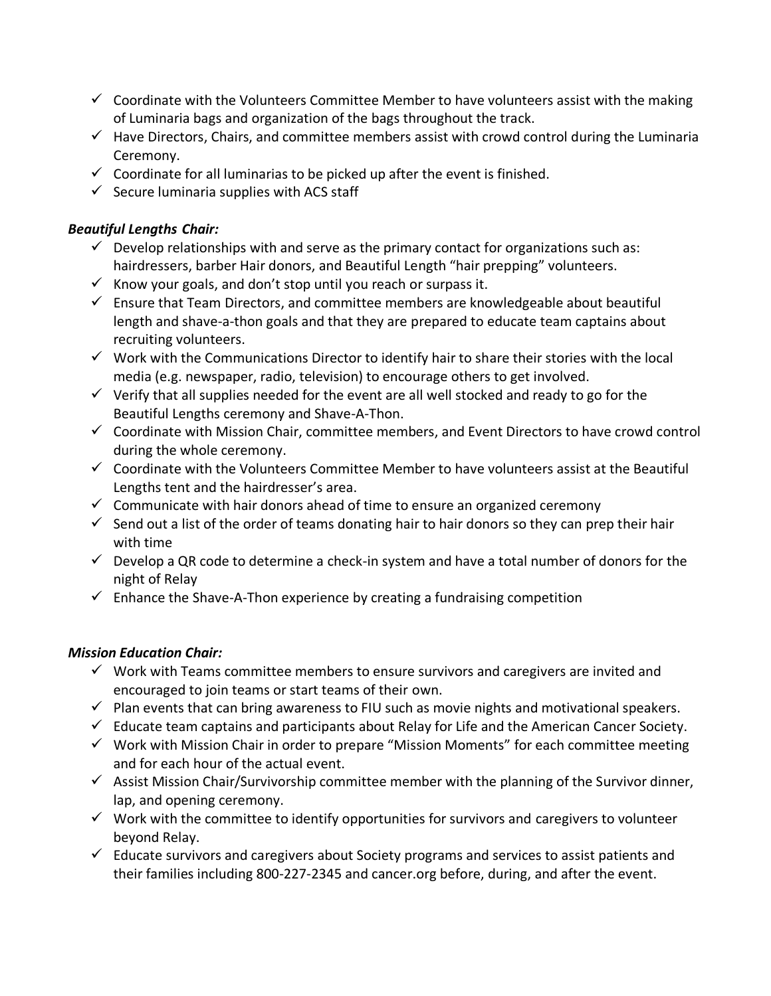- $\checkmark$  Coordinate with the Volunteers Committee Member to have volunteers assist with the making of Luminaria bags and organization of the bags throughout the track.
- $\checkmark$  Have Directors, Chairs, and committee members assist with crowd control during the Luminaria Ceremony.
- $\checkmark$  Coordinate for all luminarias to be picked up after the event is finished.
- $\checkmark$  Secure luminaria supplies with ACS staff

### *Beautiful Lengths Chair:*

- $\checkmark$  Develop relationships with and serve as the primary contact for organizations such as: hairdressers, barber Hair donors, and Beautiful Length "hair prepping" volunteers.
- $\checkmark$  Know your goals, and don't stop until you reach or surpass it.
- $\checkmark$  Ensure that Team Directors, and committee members are knowledgeable about beautiful length and shave-a-thon goals and that they are prepared to educate team captains about recruiting volunteers.
- $\checkmark$  Work with the Communications Director to identify hair to share their stories with the local media (e.g. newspaper, radio, television) to encourage others to get involved.
- $\checkmark$  Verify that all supplies needed for the event are all well stocked and ready to go for the Beautiful Lengths ceremony and Shave-A-Thon.
- $\checkmark$  Coordinate with Mission Chair, committee members, and Event Directors to have crowd control during the whole ceremony.
- $\checkmark$  Coordinate with the Volunteers Committee Member to have volunteers assist at the Beautiful Lengths tent and the hairdresser's area.
- $\checkmark$  Communicate with hair donors ahead of time to ensure an organized ceremony
- $\checkmark$  Send out a list of the order of teams donating hair to hair donors so they can prep their hair with time
- $\checkmark$  Develop a QR code to determine a check-in system and have a total number of donors for the night of Relay
- $\checkmark$  Enhance the Shave-A-Thon experience by creating a fundraising competition

### *Mission Education Chair:*

- $\checkmark$  Work with Teams committee members to ensure survivors and caregivers are invited and encouraged to join teams or start teams of their own.
- $\checkmark$  Plan events that can bring awareness to FIU such as movie nights and motivational speakers.
- $\checkmark$  Educate team captains and participants about Relay for Life and the American Cancer Society.
- $\checkmark$  Work with Mission Chair in order to prepare "Mission Moments" for each committee meeting and for each hour of the actual event.
- $\checkmark$  Assist Mission Chair/Survivorship committee member with the planning of the Survivor dinner, lap, and opening ceremony.
- $\checkmark$  Work with the committee to identify opportunities for survivors and caregivers to volunteer beyond Relay.
- $\checkmark$  Educate survivors and caregivers about Society programs and services to assist patients and their families including 800-227-2345 and cancer.org before, during, and after the event.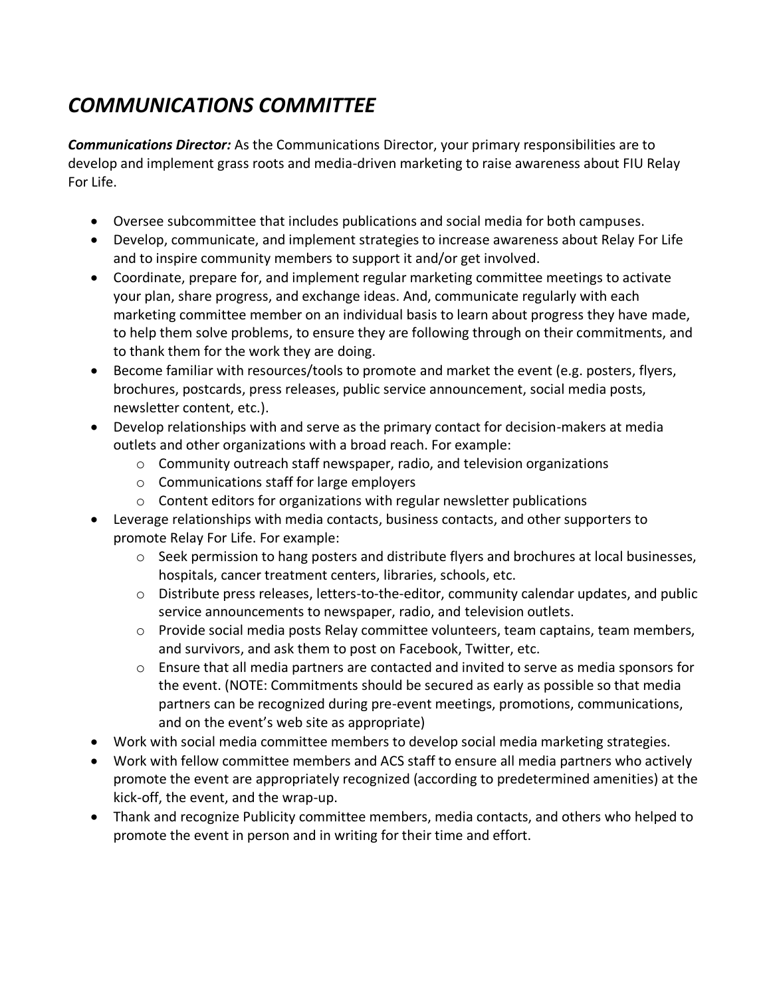# *COMMUNICATIONS COMMITTEE*

*Communications Director:* As the Communications Director, your primary responsibilities are to develop and implement grass roots and media-driven marketing to raise awareness about FIU Relay For Life.

- Oversee subcommittee that includes publications and social media for both campuses.
- Develop, communicate, and implement strategies to increase awareness about Relay For Life and to inspire community members to support it and/or get involved.
- Coordinate, prepare for, and implement regular marketing committee meetings to activate your plan, share progress, and exchange ideas. And, communicate regularly with each marketing committee member on an individual basis to learn about progress they have made, to help them solve problems, to ensure they are following through on their commitments, and to thank them for the work they are doing.
- Become familiar with resources/tools to promote and market the event (e.g. posters, flyers, brochures, postcards, press releases, public service announcement, social media posts, newsletter content, etc.).
- Develop relationships with and serve as the primary contact for decision-makers at media outlets and other organizations with a broad reach. For example:
	- $\circ$  Community outreach staff newspaper, radio, and television organizations
	- o Communications staff for large employers
	- o Content editors for organizations with regular newsletter publications
- Leverage relationships with media contacts, business contacts, and other supporters to promote Relay For Life. For example:
	- $\circ$  Seek permission to hang posters and distribute flyers and brochures at local businesses, hospitals, cancer treatment centers, libraries, schools, etc.
	- $\circ$  Distribute press releases, letters-to-the-editor, community calendar updates, and public service announcements to newspaper, radio, and television outlets.
	- $\circ$  Provide social media posts Relay committee volunteers, team captains, team members, and survivors, and ask them to post on Facebook, Twitter, etc.
	- $\circ$  Ensure that all media partners are contacted and invited to serve as media sponsors for the event. (NOTE: Commitments should be secured as early as possible so that media partners can be recognized during pre-event meetings, promotions, communications, and on the event's web site as appropriate)
- Work with social media committee members to develop social media marketing strategies.
- Work with fellow committee members and ACS staff to ensure all media partners who actively promote the event are appropriately recognized (according to predetermined amenities) at the kick-off, the event, and the wrap-up.
- Thank and recognize Publicity committee members, media contacts, and others who helped to promote the event in person and in writing for their time and effort.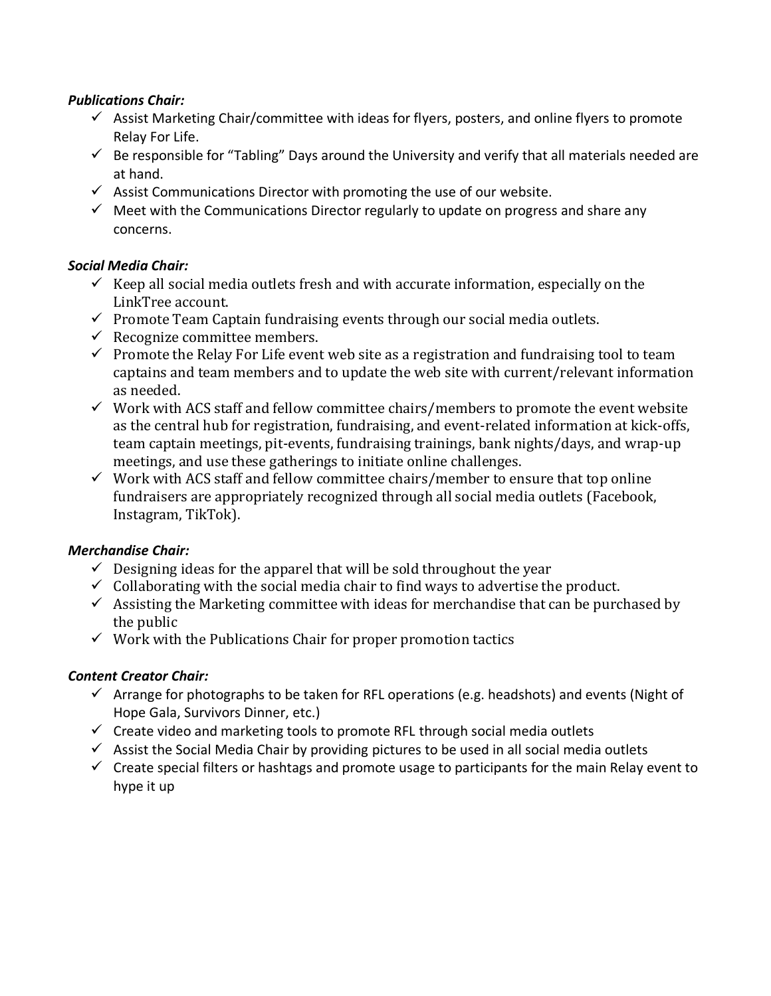#### *Publications Chair:*

- $\checkmark$  Assist Marketing Chair/committee with ideas for flyers, posters, and online flyers to promote Relay For Life.
- $\checkmark$  Be responsible for "Tabling" Days around the University and verify that all materials needed are at hand.
- $\checkmark$  Assist Communications Director with promoting the use of our website.
- $\checkmark$  Meet with the Communications Director regularly to update on progress and share any concerns.

## *Social Media Chair:*

- $\checkmark$  Keep all social media outlets fresh and with accurate information, especially on the LinkTree account.
- $\checkmark$  Promote Team Captain fundraising events through our social media outlets.
- $\checkmark$  Recognize committee members.
- $\checkmark$  Promote the Relay For Life event web site as a registration and fundraising tool to team captains and team members and to update the web site with current/relevant information as needed.
- ✓ Work with ACS staff and fellow committee chairs/members to promote the event website as the central hub for registration, fundraising, and event-related information at kick-offs, team captain meetings, pit-events, fundraising trainings, bank nights/days, and wrap-up meetings, and use these gatherings to initiate online challenges.
- $\checkmark$  Work with ACS staff and fellow committee chairs/member to ensure that top online fundraisers are appropriately recognized through all social media outlets (Facebook, Instagram, TikTok).

### *Merchandise Chair:*

- $\checkmark$  Designing ideas for the apparel that will be sold throughout the year
- $\checkmark$  Collaborating with the social media chair to find ways to advertise the product.
- $\checkmark$  Assisting the Marketing committee with ideas for merchandise that can be purchased by the public
- $\checkmark$  Work with the Publications Chair for proper promotion tactics

### *Content Creator Chair:*

- $\checkmark$  Arrange for photographs to be taken for RFL operations (e.g. headshots) and events (Night of Hope Gala, Survivors Dinner, etc.)
- $\checkmark$  Create video and marketing tools to promote RFL through social media outlets
- $\checkmark$  Assist the Social Media Chair by providing pictures to be used in all social media outlets
- $\checkmark$  Create special filters or hashtags and promote usage to participants for the main Relay event to hype it up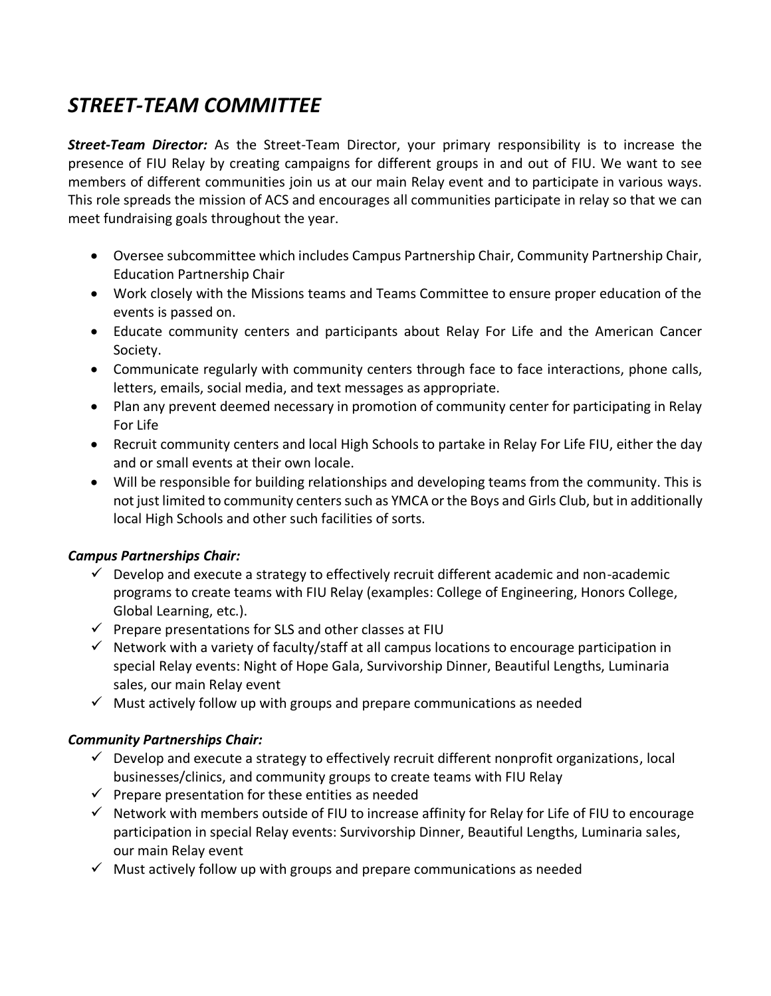# *STREET-TEAM COMMITTEE*

*Street-Team Director:* As the Street-Team Director, your primary responsibility is to increase the presence of FIU Relay by creating campaigns for different groups in and out of FIU. We want to see members of different communities join us at our main Relay event and to participate in various ways. This role spreads the mission of ACS and encourages all communities participate in relay so that we can meet fundraising goals throughout the year.

- Oversee subcommittee which includes Campus Partnership Chair, Community Partnership Chair, Education Partnership Chair
- Work closely with the Missions teams and Teams Committee to ensure proper education of the events is passed on.
- Educate community centers and participants about Relay For Life and the American Cancer Society.
- Communicate regularly with community centers through face to face interactions, phone calls, letters, emails, social media, and text messages as appropriate.
- Plan any prevent deemed necessary in promotion of community center for participating in Relay For Life
- Recruit community centers and local High Schools to partake in Relay For Life FIU, either the day and or small events at their own locale.
- Will be responsible for building relationships and developing teams from the community. This is not just limited to community centers such as YMCA or the Boys and Girls Club, but in additionally local High Schools and other such facilities of sorts.

### *Campus Partnerships Chair:*

- $\checkmark$  Develop and execute a strategy to effectively recruit different academic and non-academic programs to create teams with FIU Relay (examples: College of Engineering, Honors College, Global Learning, etc.).
- $\checkmark$  Prepare presentations for SLS and other classes at FIU
- $\checkmark$  Network with a variety of faculty/staff at all campus locations to encourage participation in special Relay events: Night of Hope Gala, Survivorship Dinner, Beautiful Lengths, Luminaria sales, our main Relay event
- $\checkmark$  Must actively follow up with groups and prepare communications as needed

### *Community Partnerships Chair:*

- $\checkmark$  Develop and execute a strategy to effectively recruit different nonprofit organizations, local businesses/clinics, and community groups to create teams with FIU Relay
- $\checkmark$  Prepare presentation for these entities as needed
- $\checkmark$  Network with members outside of FIU to increase affinity for Relay for Life of FIU to encourage participation in special Relay events: Survivorship Dinner, Beautiful Lengths, Luminaria sales, our main Relay event
- $\checkmark$  Must actively follow up with groups and prepare communications as needed